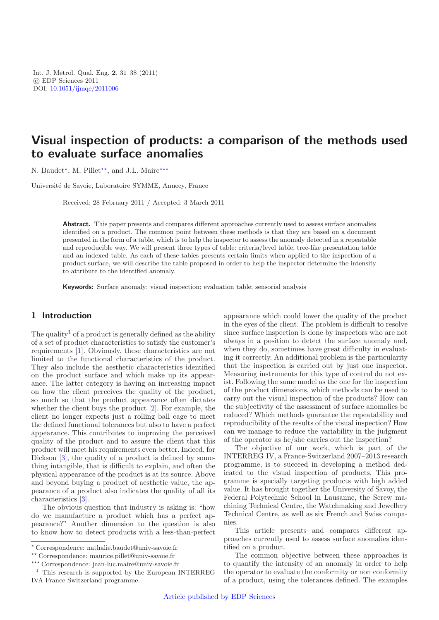Int. J. Metrol. Qual. Eng. **2**, 31–38 (2011) -c EDP Sciences 2011 DOI: [10.1051/ijmqe/2011006](http://dx.doi.org/10.1051/ijmqe/2011006)

# **Visual inspection of products: a comparison of the methods used to evaluate surface anomalies**

N. Baudet<sup>\*</sup>, M. Pillet<sup>\*\*</sup>, and J.L. Maire<sup>\*\*\*</sup>

Universit´e de Savoie, Laboratoire SYMME, Annecy, France

Received: 28 February 2011 / Accepted: 3 March 2011

**Abstract.** This paper presents and compares different approaches currently used to assess surface anomalies identified on a product. The common point between these methods is that they are based on a document presented in the form of a table, which is to help the inspector to assess the anomaly detected in a repeatable and reproducible way. We will present three types of table: criteria/level table, tree-like presentation table and an indexed table. As each of these tables presents certain limits when applied to the inspection of a product surface, we will describe the table proposed in order to help the inspector determine the intensity to attribute to the identified anomaly.

**Keywords:** Surface anomaly; visual inspection; evaluation table; sensorial analysis

## **1 Introduction**

The quality<sup>[1](#page-0-0)</sup> of a product is generally defined as the ability of a set of product characteristics to satisfy the customer's requirements [\[1](#page-6-0)]. Obviously, these characteristics are not limited to the functional characteristics of the product. They also include the aesthetic characteristics identified on the product surface and which make up its appearance. The latter category is having an increasing impact on how the client perceives the quality of the product, so much so that the product appearance often dictates whether the client buys the product [\[2\]](#page-6-1). For example, the client no longer expects just a rolling ball cage to meet the defined functional tolerances but also to have a perfect appearance. This contributes to improving the perceived quality of the product and to assure the client that this product will meet his requirements even better. Indeed, for Dickson  $[3]$  $[3]$ , the quality of a product is defined by something intangible, that is difficult to explain, and often the physical appearance of the product is at its source. Above and beyond buying a product of aesthetic value, the appearance of a product also indicates the quality of all its characteristics [\[3\]](#page-7-0).

<span id="page-0-0"></span>The obvious question that industry is asking is: "how do we manufacture a product which has a perfect appearance?" Another dimension to the question is also to know how to detect products with a less-than-perfect

appearance which could lower the quality of the product in the eyes of the client. The problem is difficult to resolve since surface inspection is done by inspectors who are not always in a position to detect the surface anomaly and, when they do, sometimes have great difficulty in evaluating it correctly. An additional problem is the particularity that the inspection is carried out by just one inspector. Measuring instruments for this type of control do not exist. Following the same model as the one for the inspection of the product dimensions, which methods can be used to carry out the visual inspection of the products? How can the subjectivity of the assessment of surface anomalies be reduced? Which methods guarantee the repeatability and reproducibility of the results of the visual inspection? How can we manage to reduce the variability in the judgment of the operator as he/she carries out the inspection?

The objective of our work, which is part of the INTERREG IV, a France-Switzerland 2007–2013 research programme, is to succeed in developing a method dedicated to the visual inspection of products. This programme is specially targeting products with high added value. It has brought together the University of Savoy, the Federal Polytechnic School in Lausanne, the Screw machining Technical Centre, the Watchmaking and Jewellery Technical Centre, as well as six French and Swiss companies.

This article presents and compares different approaches currently used to assess surface anomalies identified on a product.

The common objective between these approaches is to quantify the intensity of an anomaly in order to help the operator to evaluate the conformity or non conformity of a product, using the tolerances defined. The examples

<sup>-</sup> Correspondence: nathalie.baudet@univ-savoie.fr

<sup>\*\*</sup> Correspondence: maurice.pillet@univ-savoie.fr

<sup>\*\*\*</sup> Correspondence: jean-luc.maire@univ-savoie.fr

<sup>1</sup> This research is supported by the European INTERREG IVA France-Switzerland programme.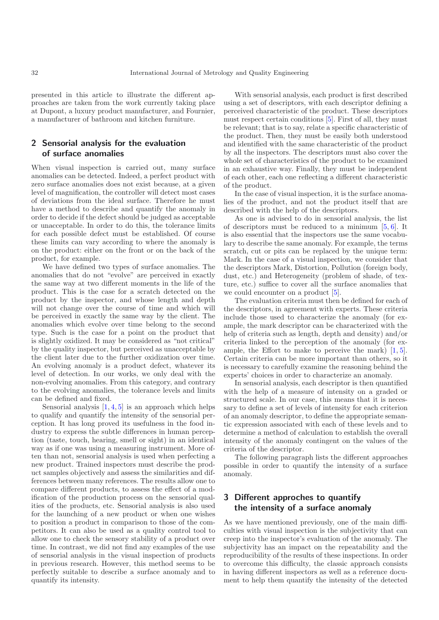presented in this article to illustrate the different approaches are taken from the work currently taking place at Dupont, a luxury product manufacturer, and Fournier, a manufacturer of bathroom and kitchen furniture.

# **2 Sensorial analysis for the evaluation of surface anomalies**

When visual inspection is carried out, many surface anomalies can be detected. Indeed, a perfect product with zero surface anomalies does not exist because, at a given level of magnification, the controller will detect most cases of deviations from the ideal surface. Therefore he must have a method to describe and quantify the anomaly in order to decide if the defect should be judged as acceptable or unacceptable. In order to do this, the tolerance limits for each possible defect must be established. Of course these limits can vary according to where the anomaly is on the product: either on the front or on the back of the product, for example.

We have defined two types of surface anomalies. The anomalies that do not "evolve" are perceived in exactly the same way at two different moments in the life of the product. This is the case for a scratch detected on the product by the inspector, and whose length and depth will not change over the course of time and which will be perceived in exactly the same way by the client. The anomalies which evolve over time belong to the second type. Such is the case for a point on the product that is slightly oxidized. It may be considered as "not critical" by the quality inspector, but perceived as unacceptable by the client later due to the further oxidization over time. An evolving anomaly is a product defect, whatever its level of detection. In our works, we only deal with the non-evolving anomalies. From this category, and contrary to the evolving anomalies, the tolerance levels and limits can be defined and fixed.

Sensorial analysis  $[1, 4, 5]$  $[1, 4, 5]$  $[1, 4, 5]$  $[1, 4, 5]$  $[1, 4, 5]$  $[1, 4, 5]$  is an approach which helps to qualify and quantify the intensity of the sensorial perception. It has long proved its usefulness in the food industry to express the subtle differences in human perception (taste, touch, hearing, smell or sight) in an identical way as if one was using a measuring instrument. More often than not, sensorial analysis is used when perfecting a new product. Trained inspectors must describe the product samples objectively and assess the similarities and differences between many references. The results allow one to compare different products, to assess the effect of a modification of the production process on the sensorial qualities of the products, etc. Sensorial analysis is also used for the launching of a new product or when one wishes to position a product in comparison to those of the competitors. It can also be used as a quality control tool to allow one to check the sensory stability of a product over time. In contrast, we did not find any examples of the use of sensorial analysis in the visual inspection of products in previous research. However, this method seems to be perfectly suitable to describe a surface anomaly and to quantify its intensity.

With sensorial analysis, each product is first described using a set of descriptors, with each descriptor defining a perceived characteristic of the product. These descriptors must respect certain conditions [\[5\]](#page-7-2). First of all, they must be relevant; that is to say, relate a specific characteristic of the product. Then, they must be easily both understood and identified with the same characteristic of the product by all the inspectors. The descriptors must also cover the whole set of characteristics of the product to be examined in an exhaustive way. Finally, they must be independent of each other, each one reflecting a different characteristic of the product.

In the case of visual inspection, it is the surface anomalies of the product, and not the product itself that are described with the help of the descriptors.

As one is advised to do in sensorial analysis, the list of descriptors must be reduced to a minimum  $[5, 6]$  $[5, 6]$  $[5, 6]$ . It is also essential that the inspectors use the same vocabulary to describe the same anomaly. For example, the terms scratch, cut or pits can be replaced by the unique term: Mark. In the case of a visual inspection, we consider that the descriptors Mark, Distortion, Pollution (foreign body, dust, etc.) and Heterogeneity (problem of shade, of texture, etc.) suffice to cover all the surface anomalies that we could encounter on a product [\[5\]](#page-7-2).

The evaluation criteria must then be defined for each of the descriptors, in agreement with experts. These criteria include those used to characterize the anomaly (for example, the mark descriptor can be characterized with the help of criteria such as length, depth and density) and/or criteria linked to the perception of the anomaly (for example, the Effort to make to perceive the mark) [\[1](#page-6-0), [5](#page-7-2)]. Certain criteria can be more important than others, so it is necessary to carefully examine the reasoning behind the experts' choices in order to characterize an anomaly.

In sensorial analysis, each descriptor is then quantified with the help of a measure of intensity on a graded or structured scale. In our case, this means that it is necessary to define a set of levels of intensity for each criterion of an anomaly descriptor, to define the appropriate semantic expression associated with each of these levels and to determine a method of calculation to establish the overall intensity of the anomaly contingent on the values of the criteria of the descriptor.

The following paragraph lists the different approaches possible in order to quantify the intensity of a surface anomaly.

# **3 Different approches to quantify the intensity of a surface anomaly**

As we have mentioned previously, one of the main difficulties with visual inspection is the subjectivity that can creep into the inspector's evaluation of the anomaly. The subjectivity has an impact on the repeatability and the reproducibility of the results of these inspections. In order to overcome this difficulty, the classic approach consists in having different inspectors as well as a reference document to help them quantify the intensity of the detected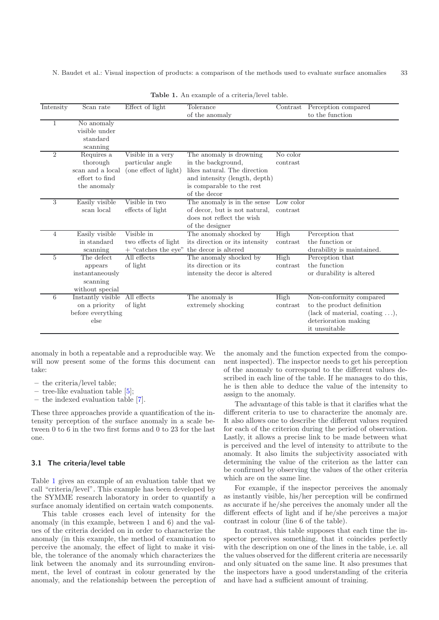N. Baudet et al.: Visual inspection of products: a comparison of the methods used to evaluate surface anomalies 33

| Intensity      | Scan rate                                                                   | Effect of light                                                | Tolerance<br>of the anomaly                                                                                                                                 | Contrast              | Perception compared<br>to the function                                                                                                  |
|----------------|-----------------------------------------------------------------------------|----------------------------------------------------------------|-------------------------------------------------------------------------------------------------------------------------------------------------------------|-----------------------|-----------------------------------------------------------------------------------------------------------------------------------------|
|                | No anomaly<br>visible under<br>standard<br>scanning                         |                                                                |                                                                                                                                                             |                       |                                                                                                                                         |
| $\overline{2}$ | Requires a<br>thorough<br>scan and a local<br>effort to find<br>the anomaly | Visible in a very<br>particular angle<br>(one effect of light) | The anomaly is drowning<br>in the background,<br>likes natural. The direction<br>and intensity (length, depth)<br>is comparable to the rest<br>of the decor | No color<br>contrast  |                                                                                                                                         |
| 3              | Easily visible<br>scan local                                                | Visible in two<br>effects of light                             | The anomaly is in the sense<br>of decor, but is not natural,<br>does not reflect the wish<br>of the designer                                                | Low color<br>contrast |                                                                                                                                         |
| 4              | Easily visible<br>in standard<br>scanning                                   | Visible in<br>two effects of light<br>$+$ "catches the eye"    | The anomaly shocked by<br>its direction or its intensity<br>the decor is altered                                                                            | High<br>contrast      | Perception that<br>the function or<br>durability is maintained.                                                                         |
| 5              | The defect<br>appears<br>instantaneously<br>scanning<br>without special     | All effects<br>of light                                        | The anomaly shocked by<br>its direction or its<br>intensity the decor is altered                                                                            | High<br>contrast      | Perception that<br>the function<br>or durability is altered                                                                             |
| 6              | Instantly visible<br>on a priority<br>before everything<br>else             | All effects<br>of light                                        | The anomaly is<br>extremely shocking                                                                                                                        | High<br>contrast      | Non-conformity compared<br>to the product definition<br>(lack of material, coating $\ldots$ ),<br>deterioration making<br>it unsuitable |

<span id="page-2-0"></span>**Table 1.** An example of a criteria/level table.

anomaly in both a repeatable and a reproducible way. We will now present some of the forms this document can take:

- **–** the criteria/level table;
- **–** tree-like evaluation table [\[5](#page-7-2)];
- **–** the indexed evaluation table [\[7\]](#page-7-4).

These three approaches provide a quantification of the intensity perception of the surface anomaly in a scale between 0 to 6 in the two first forms and 0 to 23 for the last one.

#### **3.1 The criteria/level table**

Table [1](#page-2-0) gives an example of an evaluation table that we call "criteria/level". This example has been developed by the SYMME research laboratory in order to quantify a surface anomaly identified on certain watch components.

This table crosses each level of intensity for the anomaly (in this example, between 1 and 6) and the values of the criteria decided on in order to characterize the anomaly (in this example, the method of examination to perceive the anomaly, the effect of light to make it visible, the tolerance of the anomaly which characterizes the link between the anomaly and its surrounding environment, the level of contrast in colour generated by the anomaly, and the relationship between the perception of

the anomaly and the function expected from the component inspected). The inspector needs to get his perception of the anomaly to correspond to the different values described in each line of the table. If he manages to do this, he is then able to deduce the value of the intensity to assign to the anomaly.

The advantage of this table is that it clarifies what the different criteria to use to characterize the anomaly are. It also allows one to describe the different values required for each of the criterion during the period of observation. Lastly, it allows a precise link to be made between what is perceived and the level of intensity to attribute to the anomaly. It also limits the subjectivity associated with determining the value of the criterion as the latter can be confirmed by observing the values of the other criteria which are on the same line.

For example, if the inspector perceives the anomaly as instantly visible, his/her perception will be confirmed as accurate if he/she perceives the anomaly under all the different effects of light and if he/she perceives a major contrast in colour (line 6 of the table).

In contrast, this table supposes that each time the inspector perceives something, that it coincides perfectly with the description on one of the lines in the table, i.e. all the values observed for the different criteria are necessarily and only situated on the same line. It also presumes that the inspectors have a good understanding of the criteria and have had a sufficient amount of training.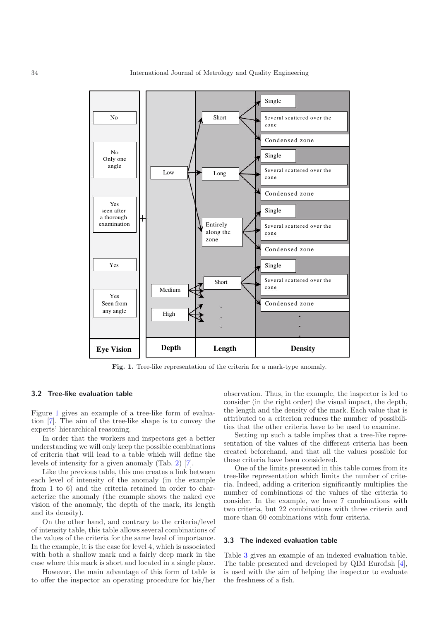

<span id="page-3-0"></span>**Fig. 1.** Tree-like representation of the criteria for a mark-type anomaly.

#### **3.2 Tree-like evaluation table**

Figure [1](#page-3-0) gives an example of a tree-like form of evaluation [\[7\]](#page-7-4). The aim of the tree-like shape is to convey the experts' hierarchical reasoning.

In order that the workers and inspectors get a better understanding we will only keep the possible combinations of criteria that will lead to a table which will define the levels of intensity for a given anomaly (Tab. [2\)](#page-4-0) [\[7\]](#page-7-4).

Like the previous table, this one creates a link between each level of intensity of the anomaly (in the example from 1 to 6) and the criteria retained in order to characterize the anomaly (the example shows the naked eye vision of the anomaly, the depth of the mark, its length and its density).

On the other hand, and contrary to the criteria/level of intensity table, this table allows several combinations of the values of the criteria for the same level of importance. In the example, it is the case for level 4, which is associated with both a shallow mark and a fairly deep mark in the case where this mark is short and located in a single place.

However, the main advantage of this form of table is to offer the inspector an operating procedure for his/her

observation. Thus, in the example, the inspector is led to consider (in the right order) the visual impact, the depth, the length and the density of the mark. Each value that is attributed to a criterion reduces the number of possibilities that the other criteria have to be used to examine.

Setting up such a table implies that a tree-like representation of the values of the different criteria has been created beforehand, and that all the values possible for these criteria have been considered.

One of the limits presented in this table comes from its tree-like representation which limits the number of criteria. Indeed, adding a criterion significantly multiplies the number of combinations of the values of the criteria to consider. In the example, we have 7 combinations with two criteria, but 22 combinations with three criteria and more than 60 combinations with four criteria.

#### **3.3 The indexed evaluation table**

Table [3](#page-5-0) gives an example of an indexed evaluation table. The table presented and developed by QIM Eurofish [\[4](#page-7-1)], is used with the aim of helping the inspector to evaluate the freshness of a fish.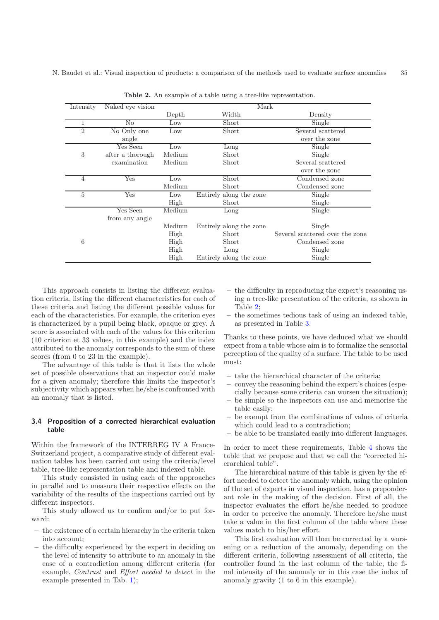| Intensity      | Naked eye vision | Mark            |                         |                                 |  |
|----------------|------------------|-----------------|-------------------------|---------------------------------|--|
|                |                  | Depth           | Width                   | Density                         |  |
| 1              | No               | $_{\text{Low}}$ | Short                   | Single                          |  |
| $\overline{2}$ | No Only one      | Low             | Short                   | Several scattered               |  |
|                | angle            |                 |                         | over the zone                   |  |
|                | Yes Seen         | Low             | Long                    | Single                          |  |
| 3              | after a thorough | Medium          | Short                   | Single                          |  |
|                | examination      | Medium          | Short                   | Several scattered               |  |
|                |                  |                 |                         | over the zone                   |  |
| $\overline{4}$ | Yes              | $_{\text{Low}}$ | Short                   | Condensed zone                  |  |
|                |                  | Medium          | Short                   | Condensed zone                  |  |
| 5              | Yes              | Low             | Entirely along the zone | Single                          |  |
|                |                  | High            | Short                   | Single                          |  |
|                | Yes Seen         | Medium          | Long                    | <b>Single</b>                   |  |
|                | from any angle   |                 |                         |                                 |  |
|                |                  | Medium          | Entirely along the zone | Single                          |  |
|                |                  | High            | Short                   | Several scattered over the zone |  |
| 6              |                  | High            | Short                   | Condensed zone                  |  |
|                |                  | High            | Long                    | Single                          |  |
|                |                  | High            | Entirely along the zone | Single                          |  |

<span id="page-4-0"></span>**Table 2.** An example of a table using a tree-like representation.

This approach consists in listing the different evaluation criteria, listing the different characteristics for each of these criteria and listing the different possible values for each of the characteristics. For example, the criterion eyes is characterized by a pupil being black, opaque or grey. A score is associated with each of the values for this criterion (10 criterion et 33 values, in this example) and the index attributed to the anomaly corresponds to the sum of these scores (from 0 to 23 in the example).

The advantage of this table is that it lists the whole set of possible observations that an inspector could make for a given anomaly; therefore this limits the inspector's subjectivity which appears when he/she is confronted with an anomaly that is listed.

#### **3.4 Proposition of a corrected hierarchical evaluation table**

Within the framework of the INTERREG IV A France-Switzerland project, a comparative study of different evaluation tables has been carried out using the criteria/level table, tree-like representation table and indexed table.

This study consisted in using each of the approaches in parallel and to measure their respective effects on the variability of the results of the inspections carried out by different inspectors.

This study allowed us to confirm and/or to put forward:

- **–** the existence of a certain hierarchy in the criteria taken into account;
- **–** the difficulty experienced by the expert in deciding on the level of intensity to attribute to an anomaly in the case of a contradiction among different criteria (for example, Contrast and Effort needed to detect in the example presented in Tab. [1\)](#page-2-0);
- **–** the difficulty in reproducing the expert's reasoning using a tree-like presentation of the criteria, as shown in Table [2;](#page-4-0)
- **–** the sometimes tedious task of using an indexed table, as presented in Table [3.](#page-5-0)

Thanks to these points, we have deduced what we should expect from a table whose aim is to formalize the sensorial perception of the quality of a surface. The table to be used must:

- **–** take the hierarchical character of the criteria;
- **–** convey the reasoning behind the expert's choices (especially because some criteria can worsen the situation);
- **–** be simple so the inspectors can use and memorise the table easily;
- **–** be exempt from the combinations of values of criteria which could lead to a contradiction;
- **–** be able to be translated easily into different languages.

In order to meet these requirements, Table [4](#page-6-2) shows the table that we propose and that we call the "corrected hierarchical table".

The hierarchical nature of this table is given by the effort needed to detect the anomaly which, using the opinion of the set of experts in visual inspection, has a preponderant role in the making of the decision. First of all, the inspector evaluates the effort he/she needed to produce in order to perceive the anomaly. Therefore he/she must take a value in the first column of the table where these values match to his/her effort.

This first evaluation will then be corrected by a worsening or a reduction of the anomaly, depending on the different criteria, following assessment of all criteria, the controller found in the last column of the table, the final intensity of the anomaly or in this case the index of anomaly gravity (1 to 6 in this example).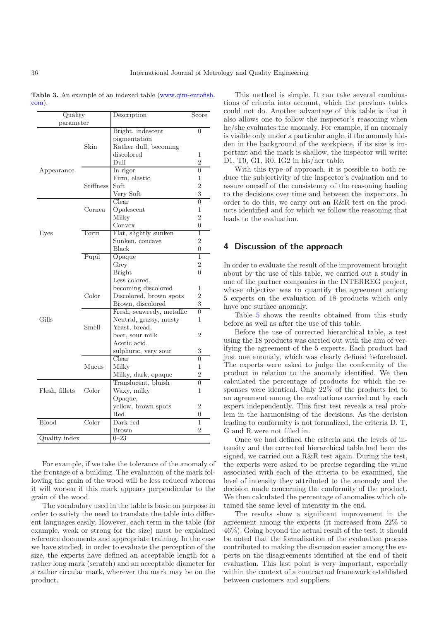<span id="page-5-0"></span>**Table 3.** An example of an indexed table [\(www.qim-eurofish.](www.qim-eurofish.com) [com\)](www.qim-eurofish.com).

| Quality        |           | Description               | Score          |
|----------------|-----------|---------------------------|----------------|
| parameter      |           |                           |                |
|                |           | Bright, indescent         | $\theta$       |
|                |           | pigmentation              |                |
|                | Skin      | Rather dull, becoming     |                |
|                |           | discolored                | 1              |
|                |           | $D$ ull                   | $\overline{2}$ |
| Appearance     |           | In rigor                  | $\overline{0}$ |
|                |           | Firm, elastic             | 1              |
|                | Stiffness | Soft                      | $\overline{2}$ |
|                |           | Very Soft                 | 3              |
|                |           | Clear                     | 0              |
|                | Cornea    | Opalescent                | 1              |
|                |           | Milky                     | $\overline{2}$ |
|                |           | Convex                    | 0              |
| Eyes           | Form      | Flat, slightly sunken     | 1              |
|                |           | Sunken, concave           | $\overline{2}$ |
|                |           | Black                     | 0              |
|                | Pupil     | Opaque                    | 1              |
|                |           | Grey                      | $\overline{2}$ |
|                |           | <b>Bright</b>             | 0              |
|                |           | Less colored,             |                |
|                |           | becoming discolored       | 1              |
|                | Color     | Discolored, brown spots   | $\overline{2}$ |
|                |           | Brown, discolored         | 3              |
|                |           | Fresh, seaweedy, metallic | $\overline{0}$ |
| Gills          |           | Neutral, grassy, musty    | 1              |
|                | Smell     | Yeast, bread,             |                |
|                |           | beer, sour milk           | 2              |
|                |           | Acetic acid,              |                |
|                |           | sulphuric, very sour      | 3              |
|                |           | Clear                     | $\overline{0}$ |
|                | Mucus     | Milky                     | 1              |
|                |           | Milky, dark, opaque       | $\overline{2}$ |
|                |           | Translucent, bluish       | 0              |
| Flesh, fillets | Color     | Waxy, milky               | 1              |
|                |           | Opaque,                   |                |
|                |           | yellow, brown spots       | 2              |
|                |           | $_{\rm Red}$              | 0              |
| Blood          | Color     | Dark red                  | $\mathbf 1$    |
|                |           | Brown                     | $\overline{2}$ |
| Quality index  |           | $0 - 23$                  |                |
|                |           |                           |                |

For example, if we take the tolerance of the anomaly of the frontage of a building. The evaluation of the mark following the grain of the wood will be less reduced whereas it will worsen if this mark appears perpendicular to the grain of the wood.

The vocabulary used in the table is basic on purpose in order to satisfy the need to translate the table into different languages easily. However, each term in the table (for example, weak or strong for the size) must be explained reference documents and appropriate training. In the case we have studied, in order to evaluate the perception of the size, the experts have defined an acceptable length for a rather long mark (scratch) and an acceptable diameter for a rather circular mark, wherever the mark may be on the product.

This method is simple. It can take several combinations of criteria into account, which the previous tables could not do. Another advantage of this table is that it also allows one to follow the inspector's reasoning when he/she evaluates the anomaly. For example, if an anomaly is visible only under a particular angle, if the anomaly hidden in the background of the workpiece, if its size is important and the mark is shallow, the inspector will write: D1, T0, G1, R0, IG2 in his/her table.

With this type of approach, it is possible to both reduce the subjectivity of the inspector's evaluation and to assure oneself of the consistency of the reasoning leading to the decisions over time and between the inspectors. In order to do this, we carry out an R&R test on the products identified and for which we follow the reasoning that leads to the evaluation.

### **4 Discussion of the approach**

In order to evaluate the result of the improvement brought about by the use of this table, we carried out a study in one of the partner companies in the INTERREG project, whose objective was to quantify the agreement among 5 experts on the evaluation of 18 products which only have one surface anomaly.

Table [5](#page-6-3) shows the results obtained from this study before as well as after the use of this table.

Before the use of corrected hierarchical table, a test using the 18 products was carried out with the aim of verifying the agreement of the 5 experts. Each product had just one anomaly, which was clearly defined beforehand. The experts were asked to judge the conformity of the product in relation to the anomaly identified. We then calculated the percentage of products for which the responses were identical. Only 22% of the products led to an agreement among the evaluations carried out by each expert independently. This first test reveals a real problem in the harmonising of the decisions. As the decision leading to conformity is not formalized, the criteria D, T, G and R were not filled in.

Once we had defined the criteria and the levels of intensity and the corrected hierarchical table had been designed, we carried out a R&R test again. During the test, the experts were asked to be precise regarding the value associated with each of the criteria to be examined, the level of intensity they attributed to the anomaly and the decision made concerning the conformity of the product. We then calculated the percentage of anomalies which obtained the same level of intensity in the end.

The results show a significant improvement in the agreement among the experts (it increased from 22% to 46%). Going beyond the actual result of the test, it should be noted that the formalisation of the evaluation process contributed to making the discussion easier among the experts on the disagreements identified at the end of their evaluation. This last point is very important, especially within the context of a contractual framework established between customers and suppliers.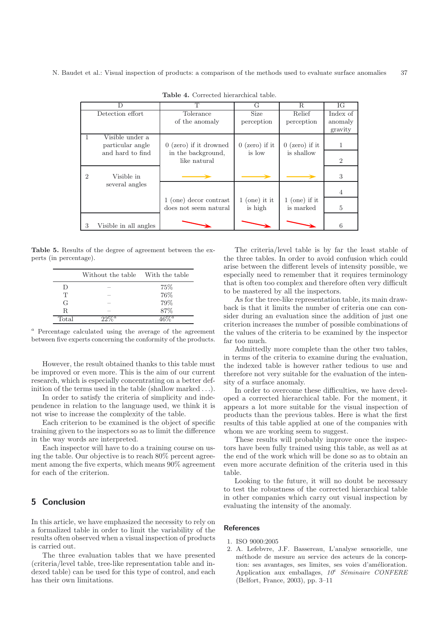<span id="page-6-3"></span>

|   |                       | T                        | G                  | R.               | ЮG             |
|---|-----------------------|--------------------------|--------------------|------------------|----------------|
|   | Detection effort      | Tolerance                | <b>Size</b>        | Relief           | Index of       |
|   |                       | of the anomaly           | perception         | perception       | anomaly        |
|   |                       |                          |                    |                  | gravity        |
|   | Visible under a       |                          |                    |                  |                |
|   | particular angle      | $0$ (zero) if it drowned | $0$ (zero) if it   | $0$ (zero) if it |                |
|   | and hard to find      | in the background,       | is low             | is shallow       |                |
|   |                       | like natural             |                    |                  | $\overline{2}$ |
|   |                       |                          |                    |                  |                |
|   | Visible in            |                          |                    |                  | 3              |
|   | several angles        |                          |                    |                  |                |
|   |                       |                          |                    |                  | 4              |
|   |                       | 1 (one) decor contrast   | $(one)$ it it<br>1 | $1$ (one) if it  |                |
|   |                       | does not seem natural    | is high            | is marked        | 5              |
|   |                       |                          |                    |                  |                |
| 3 | Visible in all angles |                          |                    |                  | 6              |

<span id="page-6-2"></span>**Table 4.** Corrected hierarchical table.

**Table 5.** Results of the degree of agreement between the experts (in percentage).

|       | Without the table With the table |      |
|-------|----------------------------------|------|
| Ð     |                                  | 75\% |
| T     |                                  | 76%  |
| G     |                                  | 79%  |
| R.    |                                  | 87\% |
| Total | $\it a$                          |      |

Percentage calculated using the average of the agreement between five experts concerning the conformity of the products.

However, the result obtained thanks to this table must be improved or even more. This is the aim of our current research, which is especially concentrating on a better definition of the terms used in the table (shallow marked *...*).

In order to satisfy the criteria of simplicity and independence in relation to the language used, we think it is not wise to increase the complexity of the table.

Each criterion to be examined is the object of specific training given to the inspectors so as to limit the difference in the way words are interpreted.

Each inspector will have to do a training course on using the table. Our objective is to reach 80% percent agreement among the five experts, which means 90% agreement for each of the criterion.

## **5 Conclusion**

In this article, we have emphasized the necessity to rely on a formalized table in order to limit the variability of the results often observed when a visual inspection of products is carried out.

The three evaluation tables that we have presented (criteria/level table, tree-like representation table and indexed table) can be used for this type of control, and each has their own limitations.

The criteria/level table is by far the least stable of the three tables. In order to avoid confusion which could arise between the different levels of intensity possible, we especially need to remember that it requires terminology that is often too complex and therefore often very difficult to be mastered by all the inspectors.

As for the tree-like representation table, its main drawback is that it limits the number of criteria one can consider during an evaluation since the addition of just one criterion increases the number of possible combinations of the values of the criteria to be examined by the inspector far too much.

Admittedly more complete than the other two tables, in terms of the criteria to examine during the evaluation, the indexed table is however rather tedious to use and therefore not very suitable for the evaluation of the intensity of a surface anomaly.

In order to overcome these difficulties, we have developed a corrected hierarchical table. For the moment, it appears a lot more suitable for the visual inspection of products than the previous tables. Here is what the first results of this table applied at one of the companies with whom we are working seem to suggest.

These results will probably improve once the inspectors have been fully trained using this table, as well as at the end of the work which will be done so as to obtain an even more accurate definition of the criteria used in this table.

Looking to the future, it will no doubt be necessary to test the robustness of the corrected hierarchical table in other companies which carry out visual inspection by evaluating the intensity of the anomaly.

#### <span id="page-6-0"></span>**References**

- 1. ISO 9000:2005
- <span id="page-6-1"></span>2. A. Lefebvre, J.F. Bassereau, L'analyse sensorielle, une méthode de mesure au service des acteurs de la conception: ses avantages, ses limites, ses voies d'amélioration. Application aux emballages,  $10^e$  *Séminaire CONFERE* (Belfort, France, 2003), pp. 3–11